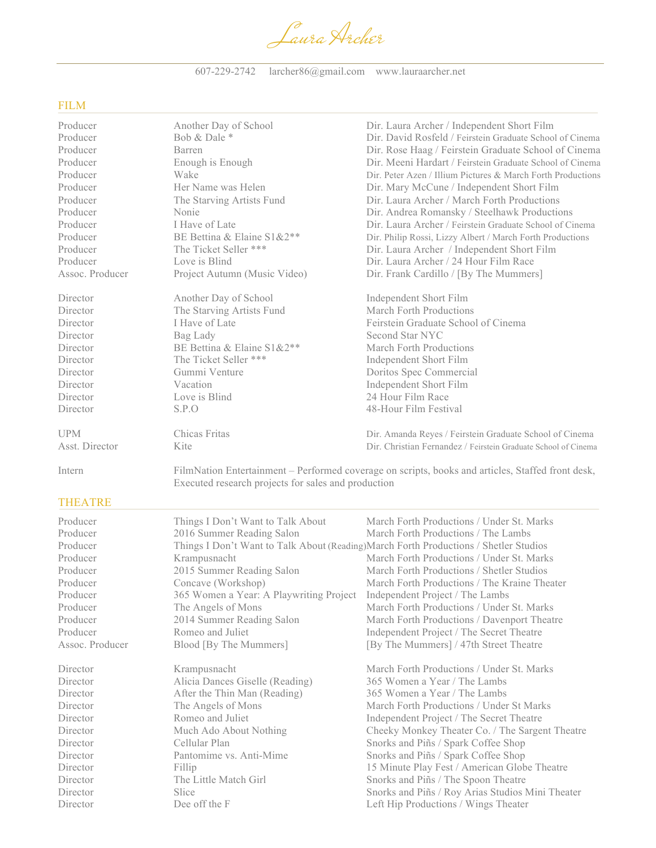Laura Archer

607-229-2742 larcher86@gmail.com www.lauraarcher.net

## FILM

| Producer        | Another Day of School                  | Dir. Laura Archer / Independent Short Film                                                        |
|-----------------|----------------------------------------|---------------------------------------------------------------------------------------------------|
| Producer        | Bob & Dale *                           | Dir. David Rosfeld / Feirstein Graduate School of Cinema                                          |
| Producer        | Barren                                 | Dir. Rose Haag / Feirstein Graduate School of Cinema                                              |
| Producer        | Enough is Enough                       | Dir. Meeni Hardart / Feirstein Graduate School of Cinema                                          |
| Producer        | Wake                                   | Dir. Peter Azen / Illium Pictures & March Forth Productions                                       |
| Producer        | Her Name was Helen                     | Dir. Mary McCune / Independent Short Film                                                         |
| Producer        | The Starving Artists Fund              | Dir. Laura Archer / March Forth Productions                                                       |
| Producer        | Nonie                                  | Dir. Andrea Romansky / Steelhawk Productions                                                      |
| Producer        | I Have of Late                         | Dir. Laura Archer / Feirstein Graduate School of Cinema                                           |
| Producer        | BE Bettina & Elaine S1&2 <sup>**</sup> | Dir. Philip Rossi, Lizzy Albert / March Forth Productions                                         |
| Producer        | The Ticket Seller ***                  | Dir. Laura Archer / Independent Short Film                                                        |
| Producer        | Love is Blind                          | Dir. Laura Archer / 24 Hour Film Race                                                             |
| Assoc. Producer | Project Autumn (Music Video)           | Dir. Frank Cardillo / [By The Mummers]                                                            |
| Director        | Another Day of School                  | <b>Independent Short Film</b>                                                                     |
| Director        | The Starving Artists Fund              | March Forth Productions                                                                           |
| Director        | I Have of Late                         | Feirstein Graduate School of Cinema                                                               |
| Director        | Bag Lady                               | Second Star NYC                                                                                   |
| Director        | BE Bettina & Elaine S1&2**             | March Forth Productions                                                                           |
| Director        | The Ticket Seller ***                  | <b>Independent Short Film</b>                                                                     |
| Director        | Gummi Venture                          | Doritos Spec Commercial                                                                           |
| Director        | Vacation                               | Independent Short Film                                                                            |
| Director        | Love is Blind                          | 24 Hour Film Race                                                                                 |
| Director        | S.P.O                                  | 48-Hour Film Festival                                                                             |
| <b>UPM</b>      | Chicas Fritas                          | Dir. Amanda Reyes / Feirstein Graduate School of Cinema                                           |
| Asst. Director  | Kite                                   | Dir. Christian Fernandez / Feirstein Graduate School of Cinema                                    |
| Intern          |                                        | FilmNation Entertainment – Performed coverage on scripts, books and articles, Staffed front desk, |

# THEATRE

| Producer        | Things I Don't Want to Talk About                                                     | March Forth Productions / Under St. Marks        |  |
|-----------------|---------------------------------------------------------------------------------------|--------------------------------------------------|--|
| Producer        | 2016 Summer Reading Salon                                                             | March Forth Productions / The Lambs              |  |
| Producer        | Things I Don't Want to Talk About (Reading) March Forth Productions / Shetler Studios |                                                  |  |
| Producer        | Krampusnacht                                                                          | March Forth Productions / Under St. Marks        |  |
| Producer        | 2015 Summer Reading Salon                                                             | March Forth Productions / Shetler Studios        |  |
| Producer        | Concave (Workshop)                                                                    | March Forth Productions / The Kraine Theater     |  |
| Producer        | 365 Women a Year: A Playwriting Project                                               | Independent Project / The Lambs                  |  |
| Producer        | The Angels of Mons                                                                    | March Forth Productions / Under St. Marks        |  |
| Producer        | 2014 Summer Reading Salon                                                             | March Forth Productions / Davenport Theatre      |  |
| Producer        | Romeo and Juliet                                                                      | Independent Project / The Secret Theatre         |  |
| Assoc. Producer | Blood [By The Mummers]                                                                | [By The Mummers] / 47th Street Theatre           |  |
|                 |                                                                                       |                                                  |  |
| Director        | Krampusnacht                                                                          | March Forth Productions / Under St. Marks        |  |
| Director        | Alicia Dances Giselle (Reading)                                                       | 365 Women a Year / The Lambs                     |  |
| Director        | After the Thin Man (Reading)                                                          | 365 Women a Year / The Lambs                     |  |
| Director        | The Angels of Mons                                                                    | March Forth Productions / Under St Marks         |  |
| Director        | Romeo and Juliet                                                                      | Independent Project / The Secret Theatre         |  |
| Director        | Much Ado About Nothing                                                                | Cheeky Monkey Theater Co. / The Sargent Theatre  |  |
| Director        | Cellular Plan                                                                         | Snorks and Piñs / Spark Coffee Shop              |  |
| Director        | Pantomime vs. Anti-Mime                                                               | Snorks and Piñs / Spark Coffee Shop              |  |
| Director        | Fillip                                                                                | 15 Minute Play Fest / American Globe Theatre     |  |
| Director        | The Little Match Girl                                                                 | Snorks and Piñs / The Spoon Theatre              |  |
| Director        | <b>Slice</b>                                                                          | Snorks and Piñs / Roy Arias Studios Mini Theater |  |
| Director        | Dee off the F                                                                         | Left Hip Productions / Wings Theater             |  |
|                 |                                                                                       |                                                  |  |

Executed research projects for sales and production